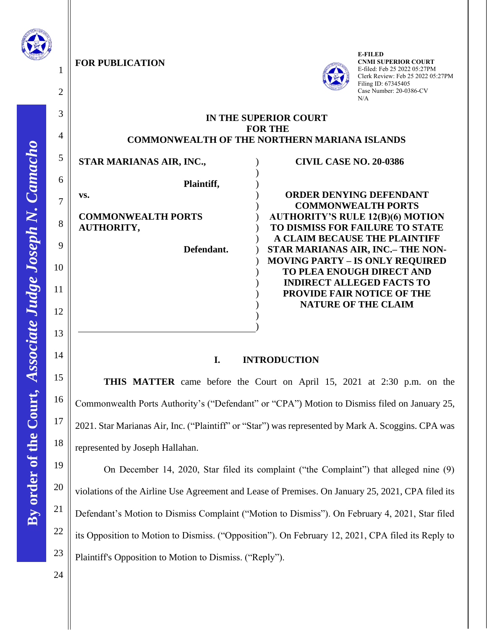

1

2

3

4

5

6

7

8

9

10

11

12

13

14

15

16

17

18

19

20

21

22

23

**FOR PUBLICATION** 



**E-FILED CNMI SUPERIOR COURT** E-filed: Feb 25 2022 05:27PM Clerk Review: Feb 25 2022 05:27PM Filing ID: 67345405 Case Number: 20-0386-CV N/A

## **IN THE SUPERIOR COURT FOR THE COMMONWEALTH OF THE NORTHERN MARIANA ISLANDS**

) ) ) ) ) ) ) ) ) ) ) ) ) ) ) )

**STAR MARIANAS AIR, INC., Plaintiff, vs.**

**COMMONWEALTH PORTS AUTHORITY,**

 **Defendant.**

**ORDER DENYING DEFENDANT COMMONWEALTH PORTS AUTHORITY'S RULE 12(B)(6) MOTION TO DISMISS FOR FAILURE TO STATE A CLAIM BECAUSE THE PLAINTIFF STAR MARIANAS AIR, INC.– THE NON-MOVING PARTY – IS ONLY REQUIRED TO PLEA ENOUGH DIRECT AND INDIRECT ALLEGED FACTS TO PROVIDE FAIR NOTICE OF THE NATURE OF THE CLAIM**

**CIVIL CASE NO. 20-0386**

# **I. INTRODUCTION**

**THIS MATTER** came before the Court on April 15, 2021 at 2:30 p.m. on the Commonwealth Ports Authority's ("Defendant" or "CPA") Motion to Dismiss filed on January 25, 2021. Star Marianas Air, Inc. ("Plaintiff" or "Star") was represented by Mark A. Scoggins. CPA was represented by Joseph Hallahan.

On December 14, 2020, Star filed its complaint ("the Complaint") that alleged nine (9) violations of the Airline Use Agreement and Lease of Premises. On January 25, 2021, CPA filed its Defendant's Motion to Dismiss Complaint ("Motion to Dismiss"). On February 4, 2021, Star filed its Opposition to Motion to Dismiss. ("Opposition"). On February 12, 2021, CPA filed its Reply to Plaintiff's Opposition to Motion to Dismiss. ("Reply").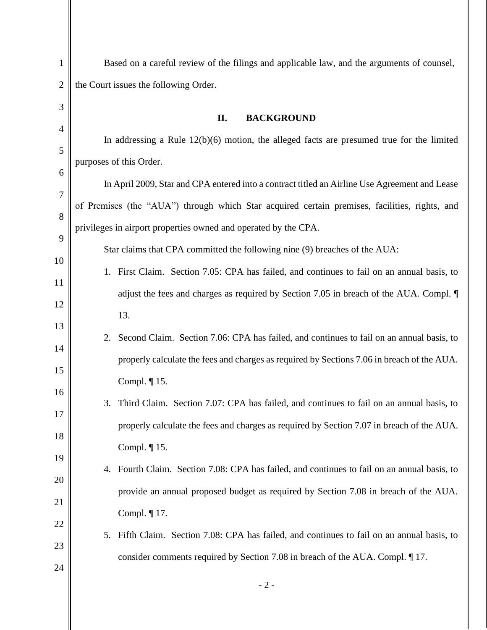| $\mathbf{1}$   | Based on a careful review of the filings and applicable law, and the arguments of counsel,     |  |  |
|----------------|------------------------------------------------------------------------------------------------|--|--|
| $\overline{2}$ | the Court issues the following Order.                                                          |  |  |
| 3              | II.<br><b>BACKGROUND</b>                                                                       |  |  |
| $\overline{4}$ | In addressing a Rule $12(b)(6)$ motion, the alleged facts are presumed true for the limited    |  |  |
| 5              | purposes of this Order.                                                                        |  |  |
| 6              |                                                                                                |  |  |
| $\overline{7}$ | In April 2009, Star and CPA entered into a contract titled an Airline Use Agreement and Lease  |  |  |
| 8              | of Premises (the "AUA") through which Star acquired certain premises, facilities, rights, and  |  |  |
| 9              | privileges in airport properties owned and operated by the CPA.                                |  |  |
| 10             | Star claims that CPA committed the following nine (9) breaches of the AUA:                     |  |  |
| 11             | 1. First Claim. Section 7.05: CPA has failed, and continues to fail on an annual basis, to     |  |  |
| 12             | adjust the fees and charges as required by Section 7.05 in breach of the AUA. Compl.           |  |  |
|                | 13.                                                                                            |  |  |
| 13             | 2. Second Claim. Section 7.06: CPA has failed, and continues to fail on an annual basis, to    |  |  |
| 14             | properly calculate the fees and charges as required by Sections 7.06 in breach of the AUA.     |  |  |
| 15             | Compl. ¶ 15.                                                                                   |  |  |
| 16             | 3. Third Claim. Section 7.07: CPA has failed, and continues to fail on an annual basis, to     |  |  |
| 17             | properly calculate the fees and charges as required by Section 7.07 in breach of the AUA.      |  |  |
| 18             | Compl. $\P$ 15.                                                                                |  |  |
| 19             | Fourth Claim. Section 7.08: CPA has failed, and continues to fail on an annual basis, to<br>4. |  |  |
| 20             | provide an annual proposed budget as required by Section 7.08 in breach of the AUA.            |  |  |
| 21             |                                                                                                |  |  |
| 22             | Compl. $\P$ 17.                                                                                |  |  |
| 23             | Fifth Claim. Section 7.08: CPA has failed, and continues to fail on an annual basis, to<br>5.  |  |  |
| 24             | consider comments required by Section 7.08 in breach of the AUA. Compl. ¶ 17.                  |  |  |
|                | $-2-$                                                                                          |  |  |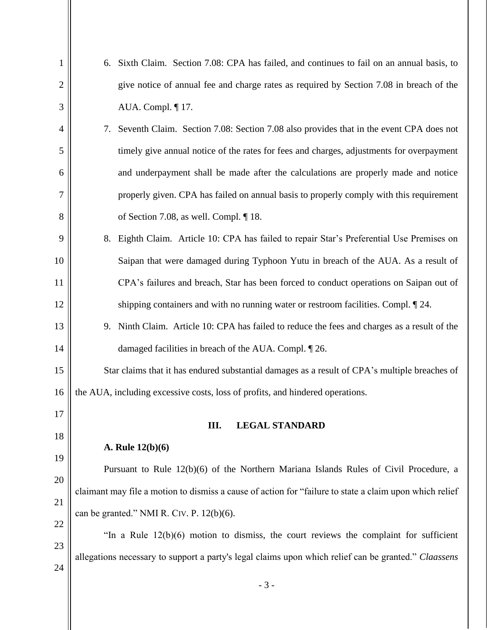| $\mathbf{1}$   |                                                                                                         | 6. Sixth Claim. Section 7.08: CPA has failed, and continues to fail on an annual basis, to   |  |  |
|----------------|---------------------------------------------------------------------------------------------------------|----------------------------------------------------------------------------------------------|--|--|
| $\overline{2}$ |                                                                                                         | give notice of annual fee and charge rates as required by Section 7.08 in breach of the      |  |  |
| 3              | AUA. Compl. ¶ 17.                                                                                       |                                                                                              |  |  |
| $\overline{4}$ | 7.                                                                                                      | Seventh Claim. Section 7.08: Section 7.08 also provides that in the event CPA does not       |  |  |
| 5              |                                                                                                         | timely give annual notice of the rates for fees and charges, adjustments for overpayment     |  |  |
| 6              |                                                                                                         | and underpayment shall be made after the calculations are properly made and notice           |  |  |
| 7              |                                                                                                         | properly given. CPA has failed on annual basis to properly comply with this requirement      |  |  |
| 8              | of Section 7.08, as well. Compl. $\P$ 18.                                                               |                                                                                              |  |  |
| 9              | 8.                                                                                                      | Eighth Claim. Article 10: CPA has failed to repair Star's Preferential Use Premises on       |  |  |
| 10             |                                                                                                         | Saipan that were damaged during Typhoon Yutu in breach of the AUA. As a result of            |  |  |
| 11             |                                                                                                         | CPA's failures and breach, Star has been forced to conduct operations on Saipan out of       |  |  |
| 12             |                                                                                                         | shipping containers and with no running water or restroom facilities. Compl. [24.]           |  |  |
| 13             |                                                                                                         | 9. Ninth Claim. Article 10: CPA has failed to reduce the fees and charges as a result of the |  |  |
| 14             | damaged facilities in breach of the AUA. Compl. [26.]                                                   |                                                                                              |  |  |
| 15             | Star claims that it has endured substantial damages as a result of CPA's multiple breaches of           |                                                                                              |  |  |
| 16             |                                                                                                         | the AUA, including excessive costs, loss of profits, and hindered operations.                |  |  |
| 17             | Ш.                                                                                                      | <b>LEGAL STANDARD</b>                                                                        |  |  |
| 18             |                                                                                                         |                                                                                              |  |  |
| 19             | A. Rule 12(b)(6)                                                                                        |                                                                                              |  |  |
| 20             |                                                                                                         | Pursuant to Rule 12(b)(6) of the Northern Mariana Islands Rules of Civil Procedure, a        |  |  |
| 21             | claimant may file a motion to dismiss a cause of action for "failure to state a claim upon which relief |                                                                                              |  |  |
| 22             | can be granted." NMI R. CIV. P. 12(b)(6).                                                               |                                                                                              |  |  |
| 23             |                                                                                                         | "In a Rule $12(b)(6)$ motion to dismiss, the court reviews the complaint for sufficient      |  |  |
| 24             | allegations necessary to support a party's legal claims upon which relief can be granted." Claassens    |                                                                                              |  |  |
|                |                                                                                                         | $-3-$                                                                                        |  |  |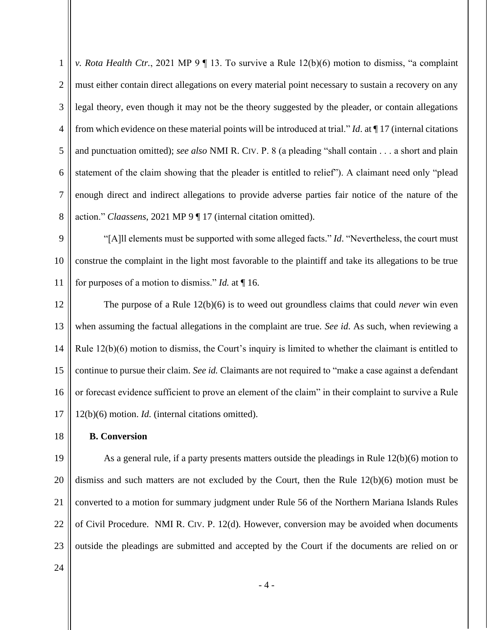1 2 3 4 5 6 7 8 *v. Rota Health Ctr.*, 2021 MP 9 ¶ 13. To survive a Rule 12(b)(6) motion to dismiss, "a complaint must either contain direct allegations on every material point necessary to sustain a recovery on any legal theory, even though it may not be the theory suggested by the pleader, or contain allegations from which evidence on these material points will be introduced at trial." *Id*. at ¶ 17 (internal citations and punctuation omitted); *see also* NMI R. CIV. P. 8 (a pleading "shall contain . . . a short and plain statement of the claim showing that the pleader is entitled to relief"). A claimant need only "plead enough direct and indirect allegations to provide adverse parties fair notice of the nature of the action." *Claassens*, 2021 MP 9 ¶ 17 (internal citation omitted).

9 10 11 "[A]ll elements must be supported with some alleged facts." *Id*. "Nevertheless, the court must construe the complaint in the light most favorable to the plaintiff and take its allegations to be true for purposes of a motion to dismiss." *Id.* at ¶ 16.

12 13 14 15 16 17 The purpose of a Rule 12(b)(6) is to weed out groundless claims that could *never* win even when assuming the factual allegations in the complaint are true. *See id*. As such, when reviewing a Rule 12(b)(6) motion to dismiss, the Court's inquiry is limited to whether the claimant is entitled to continue to pursue their claim. *See id.* Claimants are not required to "make a case against a defendant or forecast evidence sufficient to prove an element of the claim" in their complaint to survive a Rule 12(b)(6) motion. *Id.* (internal citations omitted).

18

 **B. Conversion**

19 20 21 22 23 As a general rule, if a party presents matters outside the pleadings in Rule 12(b)(6) motion to dismiss and such matters are not excluded by the Court, then the Rule 12(b)(6) motion must be converted to a motion for summary judgment under Rule 56 of the Northern Mariana Islands Rules of Civil Procedure. NMI R. CIV. P. 12(d). However, conversion may be avoided when documents outside the pleadings are submitted and accepted by the Court if the documents are relied on or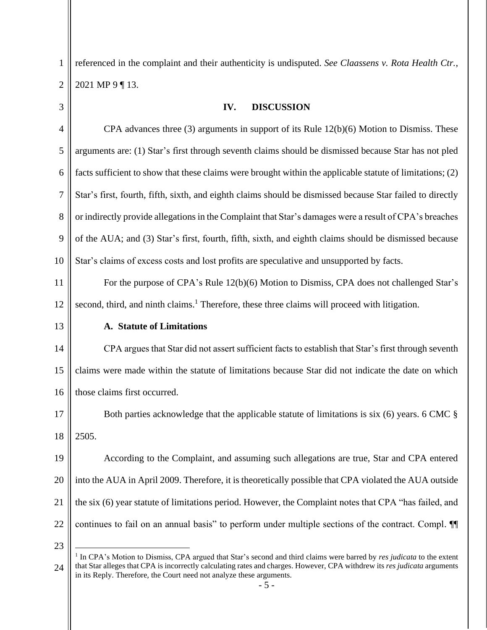1 2 referenced in the complaint and their authenticity is undisputed. *See Claassens v. Rota Health Ctr.*, 2021 MP 9 ¶ 13.

3

### **IV. DISCUSSION**

4 5 6 7 8 9 10 CPA advances three (3) arguments in support of its Rule 12(b)(6) Motion to Dismiss. These arguments are: (1) Star's first through seventh claims should be dismissed because Star has not pled facts sufficient to show that these claims were brought within the applicable statute of limitations; (2) Star's first, fourth, fifth, sixth, and eighth claims should be dismissed because Star failed to directly or indirectly provide allegations in the Complaint that Star's damages were a result of CPA's breaches of the AUA; and (3) Star's first, fourth, fifth, sixth, and eighth claims should be dismissed because Star's claims of excess costs and lost profits are speculative and unsupported by facts.

11 12 For the purpose of CPA's Rule 12(b)(6) Motion to Dismiss, CPA does not challenged Star's second, third, and ninth claims.<sup>1</sup> Therefore, these three claims will proceed with litigation.

13

#### **A. Statute of Limitations**

14 15 16 CPA argues that Star did not assert sufficient facts to establish that Star's first through seventh claims were made within the statute of limitations because Star did not indicate the date on which those claims first occurred.

17 18 Both parties acknowledge that the applicable statute of limitations is six (6) years. 6 CMC § 2505.

19 20 21 22 According to the Complaint, and assuming such allegations are true, Star and CPA entered into the AUA in April 2009. Therefore, it is theoretically possible that CPA violated the AUA outside the six (6) year statute of limitations period. However, the Complaint notes that CPA "has failed, and continues to fail on an annual basis" to perform under multiple sections of the contract. Compl. ¶¶

<sup>24</sup> 1 In CPA's Motion to Dismiss, CPA argued that Star's second and third claims were barred by *res judicata* to the extent that Star alleges that CPA is incorrectly calculating rates and charges. However, CPA withdrew its *res judicata* arguments in its Reply. Therefore, the Court need not analyze these arguments.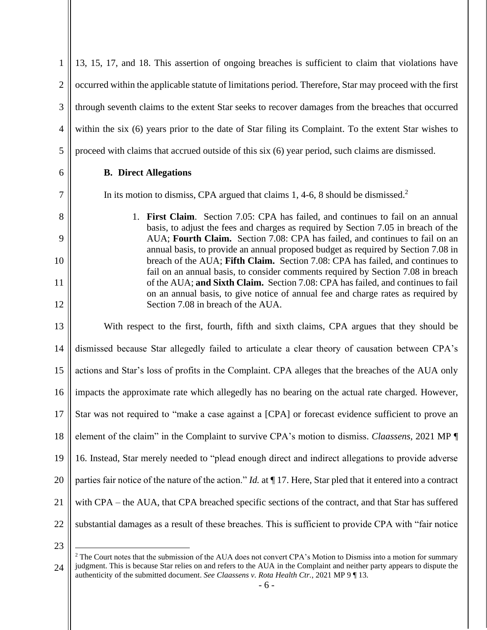2 3 4 5 6 7 8 9 10 11 12 13 14 15 16 17 18 19 20 21 22 23 occurred within the applicable statute of limitations period. Therefore, Star may proceed with the first through seventh claims to the extent Star seeks to recover damages from the breaches that occurred within the six (6) years prior to the date of Star filing its Complaint. To the extent Star wishes to proceed with claims that accrued outside of this six (6) year period, such claims are dismissed. **B. Direct Allegations** In its motion to dismiss, CPA argued that claims 1, 4-6, 8 should be dismissed.<sup>2</sup> 1. **First Claim**. Section 7.05: CPA has failed, and continues to fail on an annual basis, to adjust the fees and charges as required by Section 7.05 in breach of the AUA; **Fourth Claim.** Section 7.08: CPA has failed, and continues to fail on an annual basis, to provide an annual proposed budget as required by Section 7.08 in breach of the AUA; **Fifth Claim.** Section 7.08: CPA has failed, and continues to fail on an annual basis, to consider comments required by Section 7.08 in breach of the AUA; **and Sixth Claim.** Section 7.08: CPA has failed, and continues to fail on an annual basis, to give notice of annual fee and charge rates as required by Section 7.08 in breach of the AUA. With respect to the first, fourth, fifth and sixth claims, CPA argues that they should be dismissed because Star allegedly failed to articulate a clear theory of causation between CPA's actions and Star's loss of profits in the Complaint. CPA alleges that the breaches of the AUA only impacts the approximate rate which allegedly has no bearing on the actual rate charged. However, Star was not required to "make a case against a [CPA] or forecast evidence sufficient to prove an element of the claim" in the Complaint to survive CPA's motion to dismiss. *Claassens*, 2021 MP ¶ 16. Instead, Star merely needed to "plead enough direct and indirect allegations to provide adverse parties fair notice of the nature of the action." *Id.* at ¶ 17. Here, Star pled that it entered into a contract with CPA – the AUA, that CPA breached specific sections of the contract, and that Star has suffered substantial damages as a result of these breaches. This is sufficient to provide CPA with "fair notice

13, 15, 17, and 18. This assertion of ongoing breaches is sufficient to claim that violations have

<sup>24</sup> <sup>2</sup> The Court notes that the submission of the AUA does not convert CPA's Motion to Dismiss into a motion for summary judgment. This is because Star relies on and refers to the AUA in the Complaint and neither party appears to dispute the authenticity of the submitted document. *See Claassens v. Rota Health Ctr.*, 2021 MP 9 ¶ 13.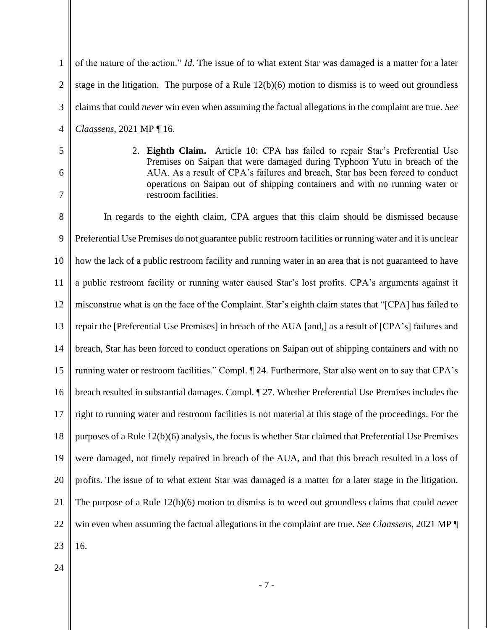1 2 3 4 of the nature of the action." *Id*. The issue of to what extent Star was damaged is a matter for a later stage in the litigation. The purpose of a Rule 12(b)(6) motion to dismiss is to weed out groundless claims that could *never* win even when assuming the factual allegations in the complaint are true. *See Claassens*, 2021 MP ¶ 16.

5 6

7

2. **Eighth Claim.** Article 10: CPA has failed to repair Star's Preferential Use Premises on Saipan that were damaged during Typhoon Yutu in breach of the AUA. As a result of CPA's failures and breach, Star has been forced to conduct operations on Saipan out of shipping containers and with no running water or restroom facilities.

8 9 10 11 12 13 14 15 16 17 18 19 20 21 22 23 In regards to the eighth claim, CPA argues that this claim should be dismissed because Preferential Use Premises do not guarantee public restroom facilities or running water and it is unclear how the lack of a public restroom facility and running water in an area that is not guaranteed to have a public restroom facility or running water caused Star's lost profits. CPA's arguments against it misconstrue what is on the face of the Complaint. Star's eighth claim states that "[CPA] has failed to repair the [Preferential Use Premises] in breach of the AUA [and,] as a result of [CPA's] failures and breach, Star has been forced to conduct operations on Saipan out of shipping containers and with no running water or restroom facilities." Compl. ¶ 24. Furthermore, Star also went on to say that CPA's breach resulted in substantial damages. Compl. ¶ 27. Whether Preferential Use Premises includes the right to running water and restroom facilities is not material at this stage of the proceedings. For the purposes of a Rule 12(b)(6) analysis, the focus is whether Star claimed that Preferential Use Premises were damaged, not timely repaired in breach of the AUA, and that this breach resulted in a loss of profits. The issue of to what extent Star was damaged is a matter for a later stage in the litigation. The purpose of a Rule 12(b)(6) motion to dismiss is to weed out groundless claims that could *never* win even when assuming the factual allegations in the complaint are true. *See Claassens*, 2021 MP ¶ 16.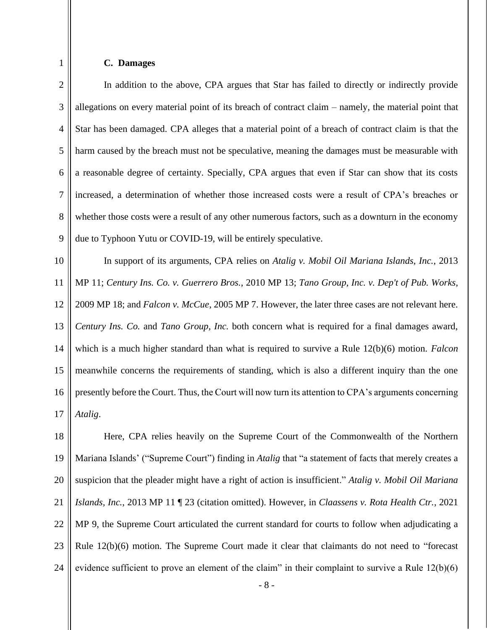1

## **C. Damages**

2 3 4 5 6 7 8 9 In addition to the above, CPA argues that Star has failed to directly or indirectly provide allegations on every material point of its breach of contract claim – namely, the material point that Star has been damaged. CPA alleges that a material point of a breach of contract claim is that the harm caused by the breach must not be speculative, meaning the damages must be measurable with a reasonable degree of certainty. Specially, CPA argues that even if Star can show that its costs increased, a determination of whether those increased costs were a result of CPA's breaches or whether those costs were a result of any other numerous factors, such as a downturn in the economy due to Typhoon Yutu or COVID-19, will be entirely speculative.

10 11 12 13 14 15 16 17 In support of its arguments, CPA relies on *Atalig v. Mobil Oil Mariana Islands, Inc.*, 2013 MP 11; *Century Ins. Co. v. Guerrero Bros.*, 2010 MP 13; *Tano Group, Inc. v. Dep't of Pub. Works*, 2009 MP 18; and *Falcon v. McCue*, 2005 MP 7. However, the later three cases are not relevant here. *Century Ins. Co.* and *Tano Group, Inc.* both concern what is required for a final damages award, which is a much higher standard than what is required to survive a Rule 12(b)(6) motion. *Falcon*  meanwhile concerns the requirements of standing, which is also a different inquiry than the one presently before the Court. Thus, the Court will now turn its attention to CPA's arguments concerning *Atalig*.

18 19 20 21 22 23 24 Here, CPA relies heavily on the Supreme Court of the Commonwealth of the Northern Mariana Islands' ("Supreme Court") finding in *Atalig* that "a statement of facts that merely creates a suspicion that the pleader might have a right of action is insufficient." *Atalig v. Mobil Oil Mariana Islands, Inc.*, 2013 MP 11 ¶ 23 (citation omitted). However, in *Claassens v. Rota Health Ctr.*, 2021 MP 9, the Supreme Court articulated the current standard for courts to follow when adjudicating a Rule 12(b)(6) motion. The Supreme Court made it clear that claimants do not need to "forecast evidence sufficient to prove an element of the claim" in their complaint to survive a Rule 12(b)(6)